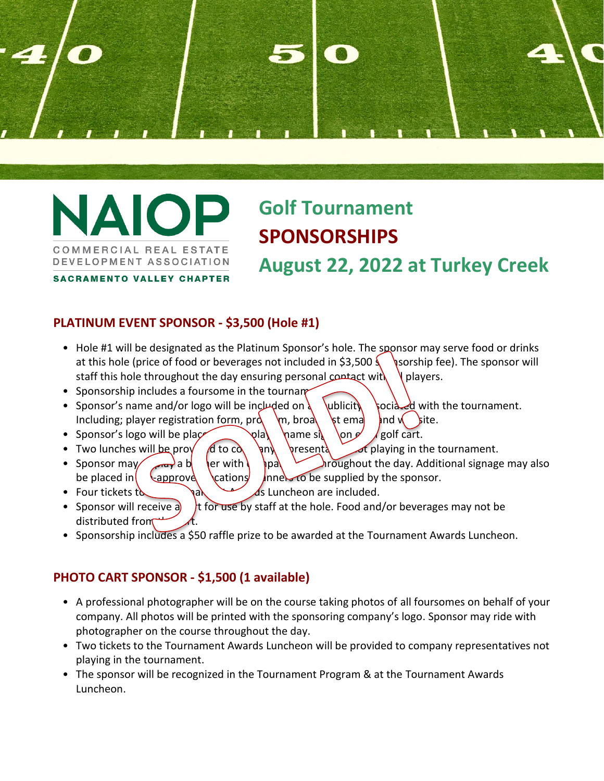

**AIO** COMMERCIAL REAL ESTATE DEVELOPMENT ASSOCIATION

# **Golf Tournament SPONSORSHIPS August 22, 2022 at Turkey Creek**

**SACRAMENTO VALLEY CHAPTER** 

#### **PLATINUM EVENT SPONSOR - \$3,500 (Hole #1)**

- Hole #1 will be designated as the Platinum Sponsor's hole. The sponsor may serve food or drinks at this hole (price of food or beverages not included in \$3,500  $\frac{1}{2}$  sorship fee). The sponsor will staff this hole throughout the day ensuring personal contact with  $\ell$  players.
- Sponsorship includes a foursome in the tournament
- Sponsor's name and/or logo will be included on  $\left\{\begin{array}{cc} \text{which, } \text{poci}\rightarrow d \text{ with the tournament.}\end{array}\right\}$ Including; player registration form,  $\text{prd}_{\text{m}}$ ,  $\text{prod}_{\text{m}}$  istend and  $\text{prd}_{\text{m}}$  iste.
- Sponsor's logo will be placed and player name signal values on  $\epsilon$  and golf cart.
- Two lunches will be provided to company in the tournament.
- Sponsor may a b company a b company logo throughout the day. Additional signage may also be placed in  $\begin{bmatrix} 0 & \text{approx} \\ 0 & \text{approx} \end{bmatrix}$  inners to be supplied by the sponsor.
- Four tickets to the Tournament As Luncheon are included.
- Sponsor will receive a  $\frac{1}{2}$  t for use by staff at the hole. Food and/or beverages may not be distributed from
- Sponsorship includes a \$50 raffle prize to be awarded at the Tournament Awards Luncheon.

#### **PHOTO CART SPONSOR - \$1,500 (1 available)**

- A professional photographer will be on the course taking photos of all foursomes on behalf of your company. All photos will be printed with the sponsoring company's logo. Sponsor may ride with photographer on the course throughout the day.
- Two tickets to the Tournament Awards Luncheon will be provided to company representatives not playing in the tournament.
- The sponsor will be recognized in the Tournament Program & at the Tournament Awards Luncheon.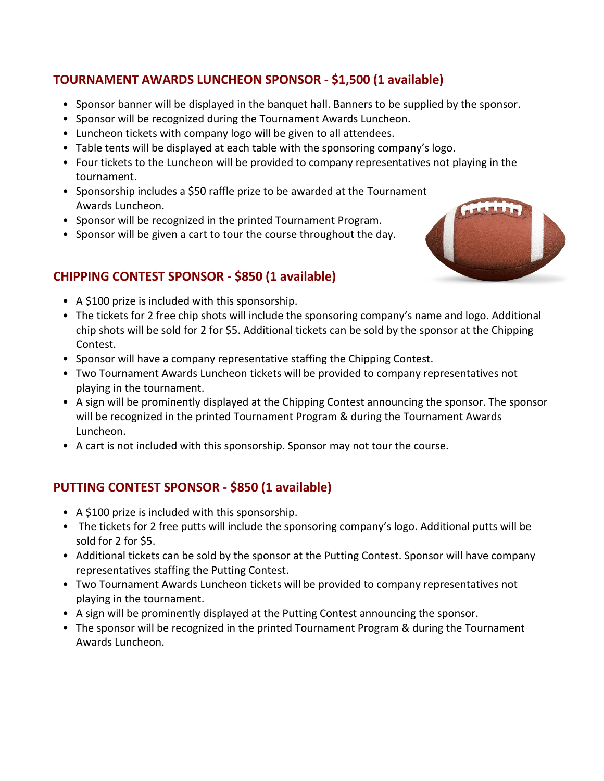#### **TOURNAMENT AWARDS LUNCHEON SPONSOR - \$1,500 (1 available)**

- Sponsor banner will be displayed in the banquet hall. Banners to be supplied by the sponsor.
- Sponsor will be recognized during the Tournament Awards Luncheon.
- Luncheon tickets with company logo will be given to all attendees.
- Table tents will be displayed at each table with the sponsoring company's logo.
- Four tickets to the Luncheon will be provided to company representatives not playing in the tournament.
- Sponsorship includes a \$50 raffle prize to be awarded at the Tournament Awards Luncheon.
- Sponsor will be recognized in the printed Tournament Program.
- Sponsor will be given a cart to tour the course throughout the day.

#### **CHIPPING CONTEST SPONSOR - \$850 (1 available)**

- A \$100 prize is included with this sponsorship.
- The tickets for 2 free chip shots will include the sponsoring company's name and logo. Additional chip shots will be sold for 2 for \$5. Additional tickets can be sold by the sponsor at the Chipping Contest.
- Sponsor will have a company representative staffing the Chipping Contest.
- Two Tournament Awards Luncheon tickets will be provided to company representatives not playing in the tournament.
- A sign will be prominently displayed at the Chipping Contest announcing the sponsor. The sponsor will be recognized in the printed Tournament Program & during the Tournament Awards Luncheon.
- A cart is not included with this sponsorship. Sponsor may not tour the course.

#### **PUTTING CONTEST SPONSOR - \$850 (1 available)**

- A \$100 prize is included with this sponsorship.
- The tickets for 2 free putts will include the sponsoring company's logo. Additional putts will be sold for 2 for \$5.
- Additional tickets can be sold by the sponsor at the Putting Contest. Sponsor will have company representatives staffing the Putting Contest.
- Two Tournament Awards Luncheon tickets will be provided to company representatives not playing in the tournament.
- A sign will be prominently displayed at the Putting Contest announcing the sponsor.
- The sponsor will be recognized in the printed Tournament Program & during the Tournament Awards Luncheon.

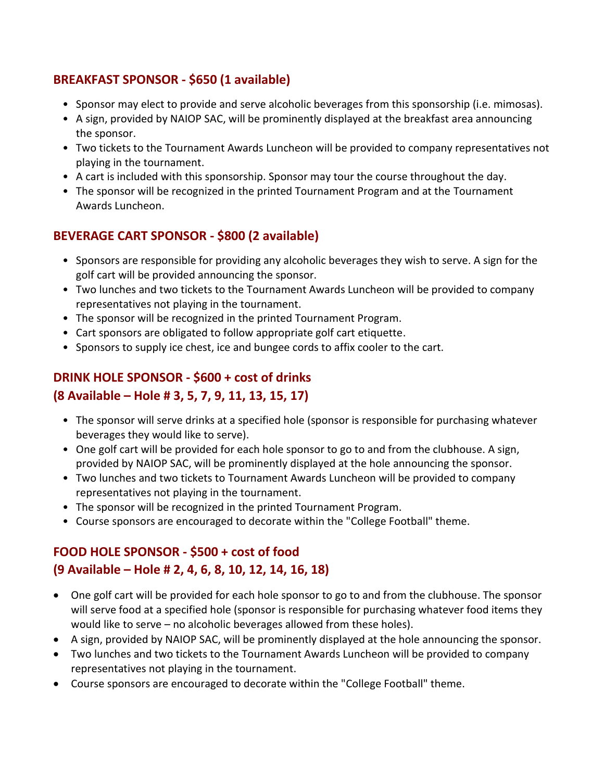#### **BREAKFAST SPONSOR - \$650 (1 available)**

- Sponsor may elect to provide and serve alcoholic beverages from this sponsorship (i.e. mimosas).
- A sign, provided by NAIOP SAC, will be prominently displayed at the breakfast area announcing the sponsor.
- Two tickets to the Tournament Awards Luncheon will be provided to company representatives not playing in the tournament.
- A cart is included with this sponsorship. Sponsor may tour the course throughout the day.
- The sponsor will be recognized in the printed Tournament Program and at the Tournament Awards Luncheon.

### **BEVERAGE CART SPONSOR - \$800 (2 available)**

- Sponsors are responsible for providing any alcoholic beverages they wish to serve. A sign for the golf cart will be provided announcing the sponsor.
- Two lunches and two tickets to the Tournament Awards Luncheon will be provided to company representatives not playing in the tournament.
- The sponsor will be recognized in the printed Tournament Program.
- Cart sponsors are obligated to follow appropriate golf cart etiquette.
- Sponsors to supply ice chest, ice and bungee cords to affix cooler to the cart.

#### **DRINK HOLE SPONSOR - \$600 + cost of drinks**

#### **(8 Available – Hole # 3, 5, 7, 9, 11, 13, 15, 17)**

- The sponsor will serve drinks at a specified hole (sponsor is responsible for purchasing whatever beverages they would like to serve).
- One golf cart will be provided for each hole sponsor to go to and from the clubhouse. A sign, provided by NAIOP SAC, will be prominently displayed at the hole announcing the sponsor.
- Two lunches and two tickets to Tournament Awards Luncheon will be provided to company representatives not playing in the tournament.
- The sponsor will be recognized in the printed Tournament Program.
- Course sponsors are encouraged to decorate within the "College Football" theme.

## **FOOD HOLE SPONSOR - \$500 + cost of food (9 Available – Hole # 2, 4, 6, 8, 10, 12, 14, 16, 18)**

- One golf cart will be provided for each hole sponsor to go to and from the clubhouse. The sponsor will serve food at a specified hole (sponsor is responsible for purchasing whatever food items they would like to serve – no alcoholic beverages allowed from these holes).
- A sign, provided by NAIOP SAC, will be prominently displayed at the hole announcing the sponsor.
- Two lunches and two tickets to the Tournament Awards Luncheon will be provided to company representatives not playing in the tournament.
- Course sponsors are encouraged to decorate within the "College Football" theme.